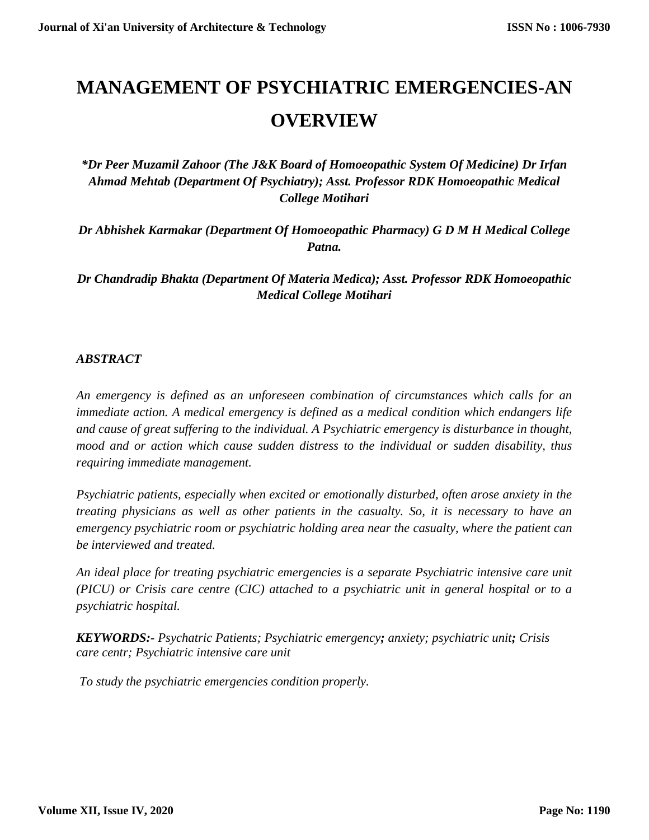# **MANAGEMENT OF PSYCHIATRIC EMERGENCIES-AN OVERVIEW**

*\*Dr Peer Muzamil Zahoor (The J&K Board of Homoeopathic System Of Medicine) Dr Irfan Ahmad Mehtab (Department Of Psychiatry); Asst. Professor RDK Homoeopathic Medical College Motihari*

*Dr Abhishek Karmakar (Department Of Homoeopathic Pharmacy) G D M H Medical College Patna.*

*Dr Chandradip Bhakta (Department Of Materia Medica); Asst. Professor RDK Homoeopathic Medical College Motihari*

# *ABSTRACT*

*An emergency is defined as an unforeseen combination of circumstances which calls for an immediate action. A medical emergency is defined as a medical condition which endangers life and cause of great suffering to the individual. A Psychiatric emergency is disturbance in thought, mood and or action which cause sudden distress to the individual or sudden disability, thus requiring immediate management.* 

*Psychiatric patients, especially when excited or emotionally disturbed, often arose anxiety in the treating physicians as well as other patients in the casualty. So, it is necessary to have an emergency psychiatric room or psychiatric holding area near the casualty, where the patient can be interviewed and treated.*

*An ideal place for treating psychiatric emergencies is a separate Psychiatric intensive care unit (PICU) or Crisis care centre (CIC) attached to a psychiatric unit in general hospital or to a psychiatric hospital.*

*KEYWORDS:- Psychatric Patients; Psychiatric emergency; anxiety; psychiatric unit; Crisis care centr; Psychiatric intensive care unit*

*To study the psychiatric emergencies condition properly.*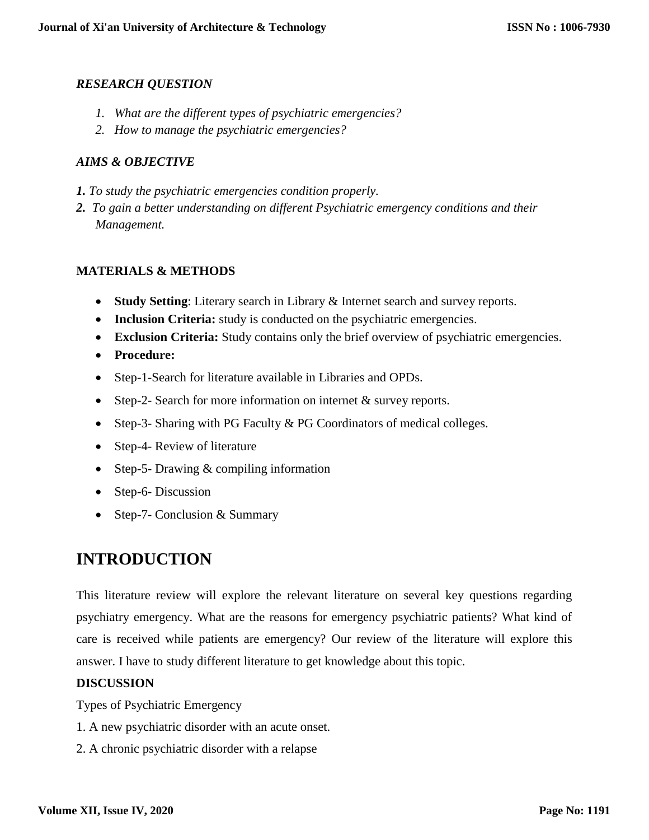# *RESEARCH QUESTION*

- *1. What are the different types of psychiatric emergencies?*
- *2. How to manage the psychiatric emergencies?*

# *AIMS & OBJECTIVE*

- *1. To study the psychiatric emergencies condition properly.*
- *2. To gain a better understanding on different Psychiatric emergency conditions and their Management.*

### **MATERIALS & METHODS**

- **Study Setting**: Literary search in Library & Internet search and survey reports.
- **Inclusion Criteria:** study is conducted on the psychiatric emergencies.
- **Exclusion Criteria:** Study contains only the brief overview of psychiatric emergencies.
- **Procedure:**
- Step-1-Search for literature available in Libraries and OPDs.
- Step-2- Search for more information on internet & survey reports.
- Step-3- Sharing with PG Faculty & PG Coordinators of medical colleges.
- Step-4- Review of literature
- Step-5- Drawing & compiling information
- Step-6- Discussion
- Step-7- Conclusion & Summary

# **INTRODUCTION**

This literature review will explore the relevant literature on several key questions regarding psychiatry emergency. What are the reasons for emergency psychiatric patients? What kind of care is received while patients are emergency? Our review of the literature will explore this answer. I have to study different literature to get knowledge about this topic.

#### **DISCUSSION**

Types of Psychiatric Emergency

- 1. A new psychiatric disorder with an acute onset.
- 2. A chronic psychiatric disorder with a relapse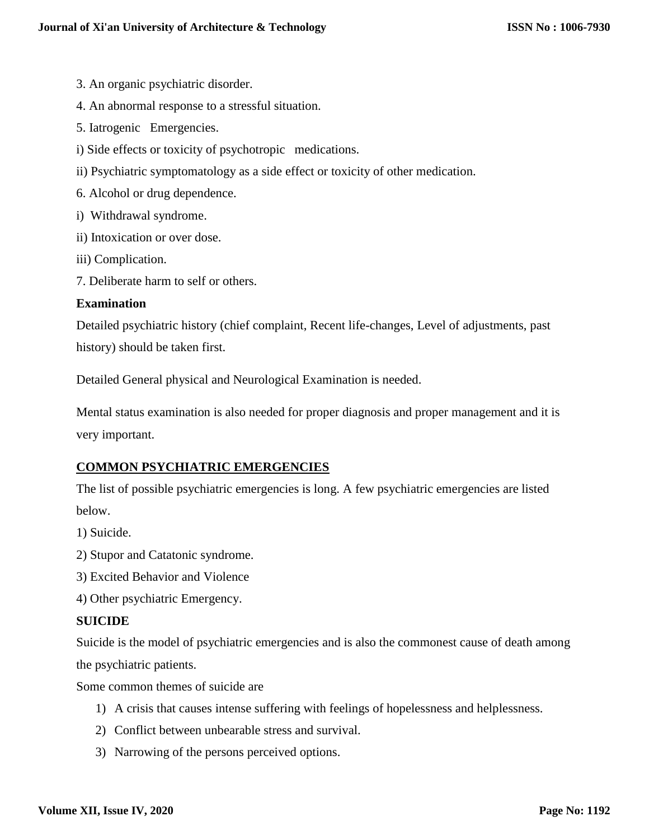- 3. An organic psychiatric disorder.
- 4. An abnormal response to a stressful situation.
- 5. Iatrogenic Emergencies.
- i) Side effects or toxicity of psychotropic medications.
- ii) Psychiatric symptomatology as a side effect or toxicity of other medication.
- 6. Alcohol or drug dependence.
- i) Withdrawal syndrome.
- ii) Intoxication or over dose.
- iii) Complication.
- 7. Deliberate harm to self or others.

#### **Examination**

Detailed psychiatric history (chief complaint, Recent life-changes, Level of adjustments, past history) should be taken first.

Detailed General physical and Neurological Examination is needed.

Mental status examination is also needed for proper diagnosis and proper management and it is very important.

# **COMMON PSYCHIATRIC EMERGENCIES**

The list of possible psychiatric emergencies is long. A few psychiatric emergencies are listed below.

- 1) Suicide.
- 2) Stupor and Catatonic syndrome.
- 3) Excited Behavior and Violence
- 4) Other psychiatric Emergency.

#### **SUICIDE**

Suicide is the model of psychiatric emergencies and is also the commonest cause of death among the psychiatric patients.

Some common themes of suicide are

- 1) A crisis that causes intense suffering with feelings of hopelessness and helplessness.
- 2) Conflict between unbearable stress and survival.
- 3) Narrowing of the persons perceived options.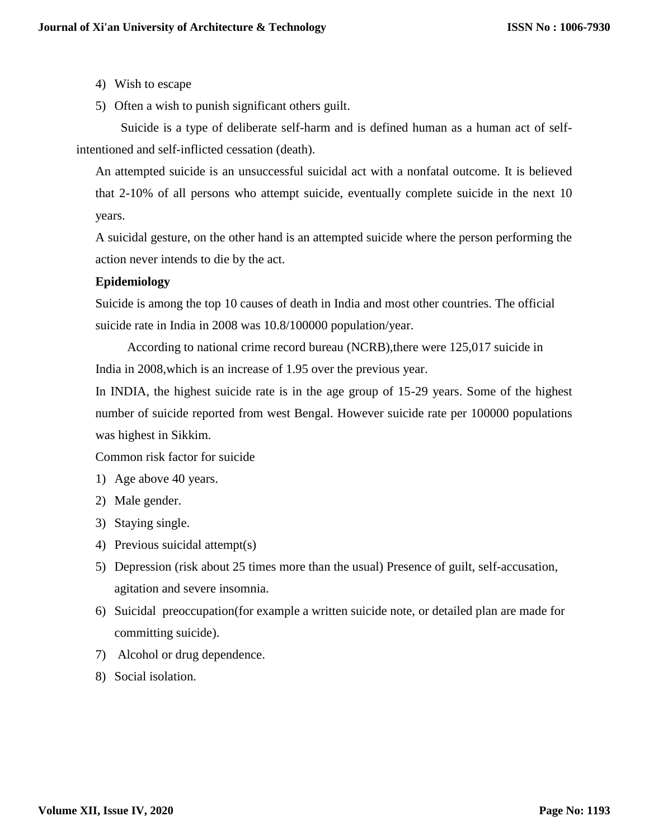- 4) Wish to escape
- 5) Often a wish to punish significant others guilt.

 Suicide is a type of deliberate self-harm and is defined human as a human act of selfintentioned and self-inflicted cessation (death).

An attempted suicide is an unsuccessful suicidal act with a nonfatal outcome. It is believed that 2-10% of all persons who attempt suicide, eventually complete suicide in the next 10 years.

A suicidal gesture, on the other hand is an attempted suicide where the person performing the action never intends to die by the act.

# **Epidemiology**

Suicide is among the top 10 causes of death in India and most other countries. The official suicide rate in India in 2008 was 10.8/100000 population/year.

 According to national crime record bureau (NCRB),there were 125,017 suicide in India in 2008,which is an increase of 1.95 over the previous year.

In INDIA, the highest suicide rate is in the age group of 15-29 years. Some of the highest number of suicide reported from west Bengal. However suicide rate per 100000 populations was highest in Sikkim.

Common risk factor for suicide

- 1) Age above 40 years.
- 2) Male gender.
- 3) Staying single.
- 4) Previous suicidal attempt(s)
- 5) Depression (risk about 25 times more than the usual) Presence of guilt, self-accusation, agitation and severe insomnia.
- 6) Suicidal preoccupation(for example a written suicide note, or detailed plan are made for committing suicide).
- 7) Alcohol or drug dependence.
- 8) Social isolation.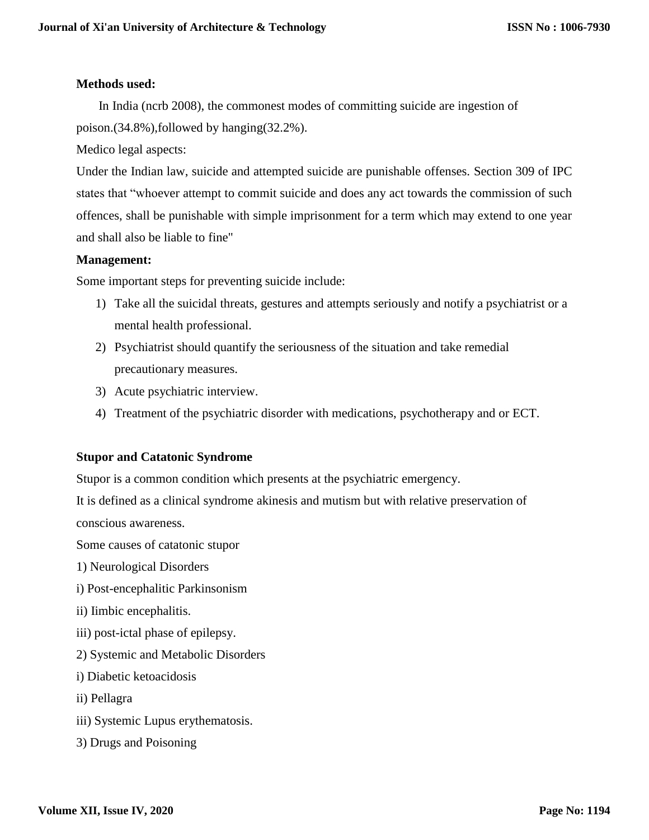#### **Methods used:**

 In India (ncrb 2008), the commonest modes of committing suicide are ingestion of poison.(34.8%),followed by hanging(32.2%).

Medico legal aspects:

Under the Indian law, suicide and attempted suicide are punishable offenses. Section 309 of IPC states that "whoever attempt to commit suicide and does any act towards the commission of such offences, shall be punishable with simple imprisonment for a term which may extend to one year and shall also be liable to fine"

#### **Management:**

Some important steps for preventing suicide include:

- 1) Take all the suicidal threats, gestures and attempts seriously and notify a psychiatrist or a mental health professional.
- 2) Psychiatrist should quantify the seriousness of the situation and take remedial precautionary measures.
- 3) Acute psychiatric interview.
- 4) Treatment of the psychiatric disorder with medications, psychotherapy and or ECT.

#### **Stupor and Catatonic Syndrome**

Stupor is a common condition which presents at the psychiatric emergency.

It is defined as a clinical syndrome akinesis and mutism but with relative preservation of

conscious awareness.

Some causes of catatonic stupor

- 1) Neurological Disorders
- i) Post-encephalitic Parkinsonism
- ii) Iimbic encephalitis.
- iii) post-ictal phase of epilepsy.
- 2) Systemic and Metabolic Disorders
- i) Diabetic ketoacidosis
- ii) Pellagra
- iii) Systemic Lupus erythematosis.
- 3) Drugs and Poisoning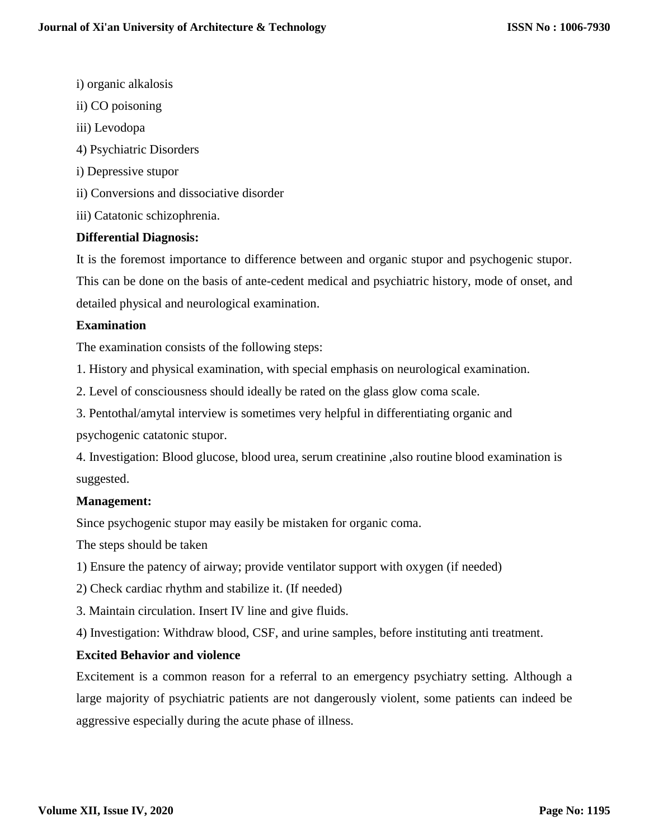- i) organic alkalosis
- ii) CO poisoning
- iii) Levodopa
- 4) Psychiatric Disorders
- i) Depressive stupor
- ii) Conversions and dissociative disorder
- iii) Catatonic schizophrenia.

### **Differential Diagnosis:**

It is the foremost importance to difference between and organic stupor and psychogenic stupor. This can be done on the basis of ante-cedent medical and psychiatric history, mode of onset, and detailed physical and neurological examination.

#### **Examination**

The examination consists of the following steps:

1. History and physical examination, with special emphasis on neurological examination.

2. Level of consciousness should ideally be rated on the glass glow coma scale.

3. Pentothal/amytal interview is sometimes very helpful in differentiating organic and

psychogenic catatonic stupor.

4. Investigation: Blood glucose, blood urea, serum creatinine ,also routine blood examination is suggested.

#### **Management:**

Since psychogenic stupor may easily be mistaken for organic coma.

The steps should be taken

- 1) Ensure the patency of airway; provide ventilator support with oxygen (if needed)
- 2) Check cardiac rhythm and stabilize it. (If needed)
- 3. Maintain circulation. Insert IV line and give fluids.

4) Investigation: Withdraw blood, CSF, and urine samples, before instituting anti treatment.

# **Excited Behavior and violence**

Excitement is a common reason for a referral to an emergency psychiatry setting. Although a large majority of psychiatric patients are not dangerously violent, some patients can indeed be aggressive especially during the acute phase of illness.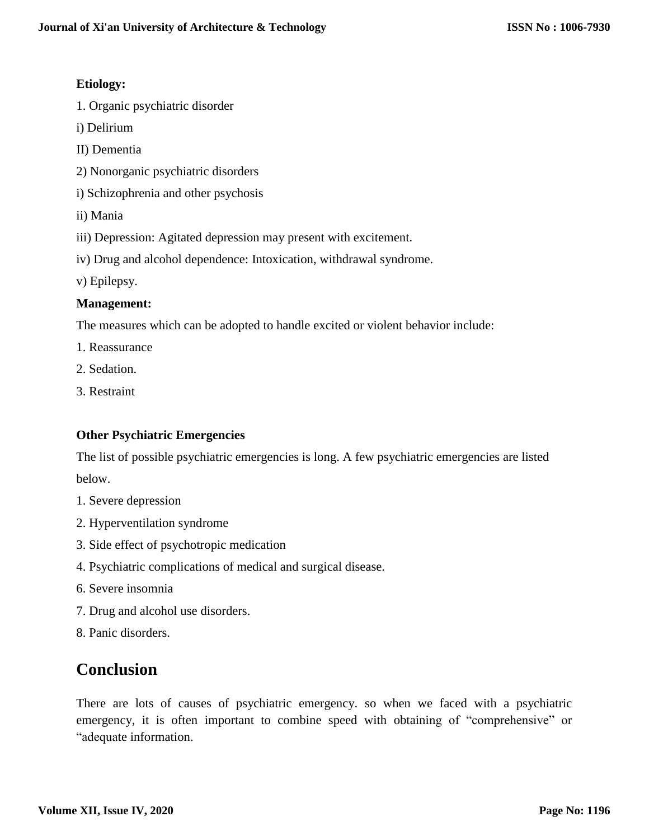# **Etiology:**

- 1. Organic psychiatric disorder
- i) Delirium
- II) Dementia
- 2) Nonorganic psychiatric disorders
- i) Schizophrenia and other psychosis
- ii) Mania
- iii) Depression: Agitated depression may present with excitement.
- iv) Drug and alcohol dependence: Intoxication, withdrawal syndrome.
- v) Epilepsy.

### **Management:**

The measures which can be adopted to handle excited or violent behavior include:

- 1. Reassurance
- 2. Sedation.
- 3. Restraint

# **Other Psychiatric Emergencies**

The list of possible psychiatric emergencies is long. A few psychiatric emergencies are listed below.

- 1. Severe depression
- 2. Hyperventilation syndrome
- 3. Side effect of psychotropic medication
- 4. Psychiatric complications of medical and surgical disease.
- 6. Severe insomnia
- 7. Drug and alcohol use disorders.
- 8. Panic disorders.

# **Conclusion**

There are lots of causes of psychiatric emergency. so when we faced with a psychiatric emergency, it is often important to combine speed with obtaining of "comprehensive" or "adequate information.